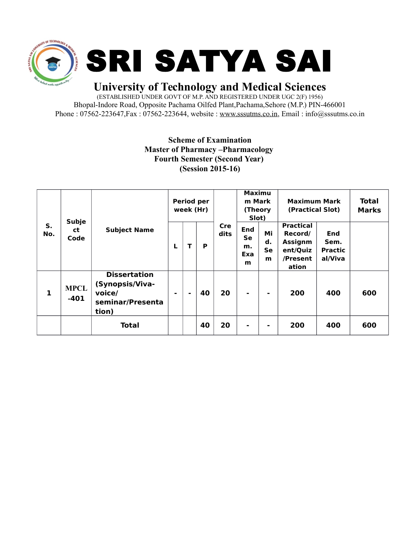

## **University of Technology and Medical Sciences**

(ESTABLISHED UNDER GOVT OF M.P. AND REGISTERED UNDER UGC 2(F) 1956) Bhopal-Indore Road, Opposite Pachama Oilfed Plant,Pachama,Sehore (M.P.) PIN-466001 Phone : 07562-223647, Fax : 07562-223644, website : [www.sssutms.co.in,](http://www.sssutms.co.in/) Email : info@sssutms.co.in

## **Scheme of Examination Master of Pharmacy –Pharmacology Fourth Semester (Second Year) (Session 2015-16)**

| S.<br>No. | <b>Subje</b><br>ct<br>Code | <b>Subject Name</b>                                                           | Period per<br>week (Hr) |                |    |                    | <b>Maximu</b><br>m Mark<br>(Theory<br>Slot) |                     | <b>Maximum Mark</b><br>(Practical Slot)                                        |                                          | <b>Total</b><br><b>Marks</b> |
|-----------|----------------------------|-------------------------------------------------------------------------------|-------------------------|----------------|----|--------------------|---------------------------------------------|---------------------|--------------------------------------------------------------------------------|------------------------------------------|------------------------------|
|           |                            |                                                                               | L                       | T              | P  | <b>Cre</b><br>dits | End<br>Se<br>m.<br>Exa<br>m                 | Mi<br>d.<br>Se<br>m | <b>Practical</b><br>Record/<br><b>Assignm</b><br>ent/Quiz<br>/Present<br>ation | End<br>Sem.<br><b>Practic</b><br>al/Viva |                              |
| 1         | <b>MPCL</b><br>$-401$      | <b>Dissertation</b><br>(Synopsis/Viva-<br>voice/<br>seminar/Presenta<br>tion) | ۰                       | $\blacksquare$ | 40 | 20                 | $\blacksquare$                              | -                   | 200                                                                            | 400                                      | 600                          |
|           |                            | <b>Total</b>                                                                  |                         |                | 40 | 20                 | ۰                                           | -                   | 200                                                                            | 400                                      | 600                          |